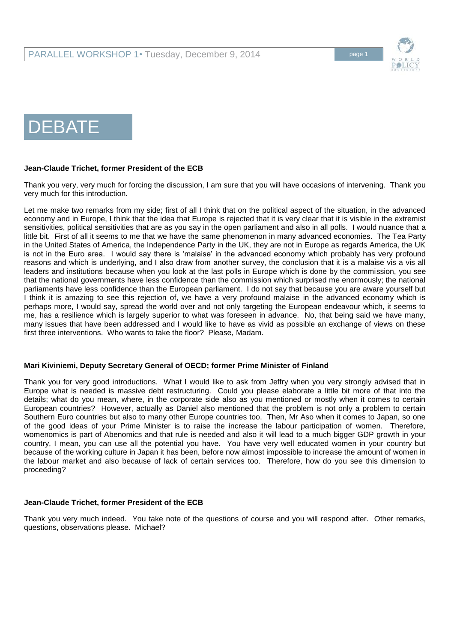

# DEBATE

#### **Jean-Claude Trichet, former President of the ECB**

Thank you very, very much for forcing the discussion, I am sure that you will have occasions of intervening. Thank you very much for this introduction.

Let me make two remarks from my side; first of all I think that on the political aspect of the situation, in the advanced economy and in Europe, I think that the idea that Europe is rejected that it is very clear that it is visible in the extremist sensitivities, political sensitivities that are as you say in the open parliament and also in all polls. I would nuance that a little bit. First of all it seems to me that we have the same phenomenon in many advanced economies. The Tea Party in the United States of America, the Independence Party in the UK, they are not in Europe as regards America, the UK is not in the Euro area. I would say there is 'malaise' in the advanced economy which probably has very profound reasons and which is underlying, and I also draw from another survey, the conclusion that it is a malaise vis a vis all leaders and institutions because when you look at the last polls in Europe which is done by the commission, you see that the national governments have less confidence than the commission which surprised me enormously; the national parliaments have less confidence than the European parliament. I do not say that because you are aware yourself but I think it is amazing to see this rejection of, we have a very profound malaise in the advanced economy which is perhaps more, I would say, spread the world over and not only targeting the European endeavour which, it seems to me, has a resilience which is largely superior to what was foreseen in advance. No, that being said we have many, many issues that have been addressed and I would like to have as vivid as possible an exchange of views on these first three interventions. Who wants to take the floor? Please, Madam.

#### **Mari Kiviniemi, Deputy Secretary General of OECD; former Prime Minister of Finland**

Thank you for very good introductions. What I would like to ask from Jeffry when you very strongly advised that in Europe what is needed is massive debt restructuring. Could you please elaborate a little bit more of that into the details; what do you mean, where, in the corporate side also as you mentioned or mostly when it comes to certain European countries? However, actually as Daniel also mentioned that the problem is not only a problem to certain Southern Euro countries but also to many other Europe countries too. Then, Mr Aso when it comes to Japan, so one of the good ideas of your Prime Minister is to raise the increase the labour participation of women. Therefore, womenomics is part of Abenomics and that rule is needed and also it will lead to a much bigger GDP growth in your country, I mean, you can use all the potential you have. You have very well educated women in your country but because of the working culture in Japan it has been, before now almost impossible to increase the amount of women in the labour market and also because of lack of certain services too. Therefore, how do you see this dimension to proceeding?

#### **Jean-Claude Trichet, former President of the ECB**

Thank you very much indeed. You take note of the questions of course and you will respond after. Other remarks, questions, observations please. Michael?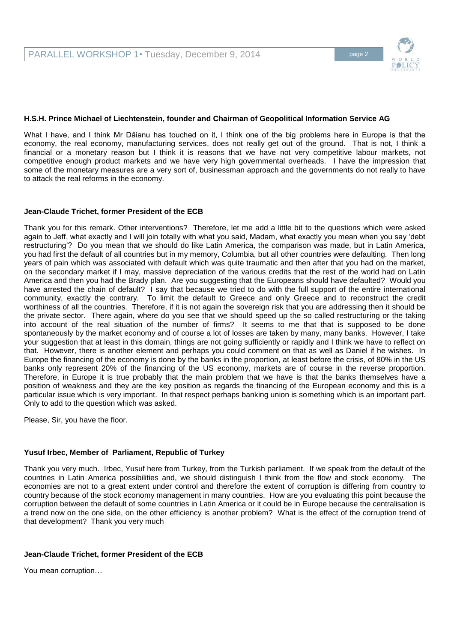

#### **H.S.H. Prince Michael of Liechtenstein, founder and Chairman of Geopolitical Information Service AG**

What I have, and I think Mr Dăianu has touched on it, I think one of the big problems here in Europe is that the economy, the real economy, manufacturing services, does not really get out of the ground. That is not, I think a financial or a monetary reason but I think it is reasons that we have not very competitive labour markets, not competitive enough product markets and we have very high governmental overheads. I have the impression that some of the monetary measures are a very sort of, businessman approach and the governments do not really to have to attack the real reforms in the economy.

#### **Jean-Claude Trichet, former President of the ECB**

Thank you for this remark. Other interventions? Therefore, let me add a little bit to the questions which were asked again to Jeff, what exactly and I will join totally with what you said, Madam, what exactly you mean when you say 'debt restructuring'? Do you mean that we should do like Latin America, the comparison was made, but in Latin America, you had first the default of all countries but in my memory, Columbia, but all other countries were defaulting. Then long years of pain which was associated with default which was quite traumatic and then after that you had on the market, on the secondary market if I may, massive depreciation of the various credits that the rest of the world had on Latin America and then you had the Brady plan. Are you suggesting that the Europeans should have defaulted? Would you have arrested the chain of default? I say that because we tried to do with the full support of the entire international community, exactly the contrary. To limit the default to Greece and only Greece and to reconstruct the credit worthiness of all the countries. Therefore, if it is not again the sovereign risk that you are addressing then it should be the private sector. There again, where do you see that we should speed up the so called restructuring or the taking into account of the real situation of the number of firms? It seems to me that that is supposed to be done spontaneously by the market economy and of course a lot of losses are taken by many, many banks. However, I take your suggestion that at least in this domain, things are not going sufficiently or rapidly and I think we have to reflect on that. However, there is another element and perhaps you could comment on that as well as Daniel if he wishes. In Europe the financing of the economy is done by the banks in the proportion, at least before the crisis, of 80% in the US banks only represent 20% of the financing of the US economy, markets are of course in the reverse proportion. Therefore, in Europe it is true probably that the main problem that we have is that the banks themselves have a position of weakness and they are the key position as regards the financing of the European economy and this is a particular issue which is very important. In that respect perhaps banking union is something which is an important part. Only to add to the question which was asked.

Please, Sir, you have the floor.

#### **Yusuf Irbec, Member of Parliament, Republic of Turkey**

Thank you very much. Irbec, Yusuf here from Turkey, from the Turkish parliament. If we speak from the default of the countries in Latin America possibilities and, we should distinguish I think from the flow and stock economy. The economies are not to a great extent under control and therefore the extent of corruption is differing from country to country because of the stock economy management in many countries. How are you evaluating this point because the corruption between the default of some countries in Latin America or it could be in Europe because the centralisation is a trend now on the one side, on the other efficiency is another problem? What is the effect of the corruption trend of that development? Thank you very much

#### **Jean-Claude Trichet, former President of the ECB**

You mean corruption…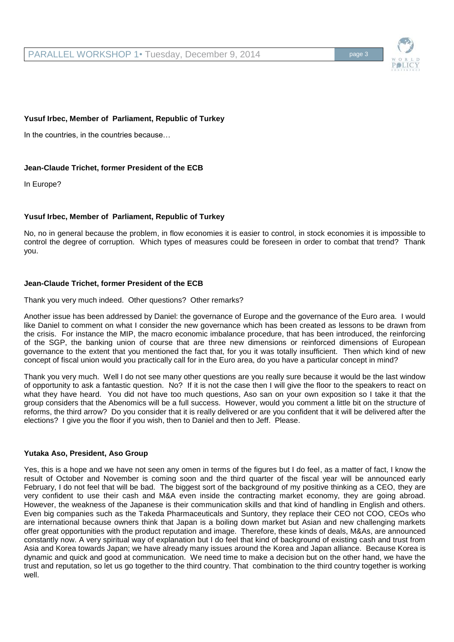

# **Yusuf Irbec, Member of Parliament, Republic of Turkey**

In the countries, in the countries because…

# **Jean-Claude Trichet, former President of the ECB**

In Europe?

# **Yusuf Irbec, Member of Parliament, Republic of Turkey**

No, no in general because the problem, in flow economies it is easier to control, in stock economies it is impossible to control the degree of corruption. Which types of measures could be foreseen in order to combat that trend? Thank you.

# **Jean-Claude Trichet, former President of the ECB**

Thank you very much indeed. Other questions? Other remarks?

Another issue has been addressed by Daniel: the governance of Europe and the governance of the Euro area. I would like Daniel to comment on what I consider the new governance which has been created as lessons to be drawn from the crisis. For instance the MIP, the macro economic imbalance procedure, that has been introduced, the reinforcing of the SGP, the banking union of course that are three new dimensions or reinforced dimensions of European governance to the extent that you mentioned the fact that, for you it was totally insufficient. Then which kind of new concept of fiscal union would you practically call for in the Euro area, do you have a particular concept in mind?

Thank you very much. Well I do not see many other questions are you really sure because it would be the last window of opportunity to ask a fantastic question. No? If it is not the case then I will give the floor to the speakers to react on what they have heard. You did not have too much questions, Aso san on your own exposition so I take it that the group considers that the Abenomics will be a full success. However, would you comment a little bit on the structure of reforms, the third arrow? Do you consider that it is really delivered or are you confident that it will be delivered after the elections? I give you the floor if you wish, then to Daniel and then to Jeff. Please.

# **Yutaka Aso, President, Aso Group**

Yes, this is a hope and we have not seen any omen in terms of the figures but I do feel, as a matter of fact, I know the result of October and November is coming soon and the third quarter of the fiscal year will be announced early February, I do not feel that will be bad. The biggest sort of the background of my positive thinking as a CEO, they are very confident to use their cash and M&A even inside the contracting market economy, they are going abroad. However, the weakness of the Japanese is their communication skills and that kind of handling in English and others. Even big companies such as the Takeda Pharmaceuticals and Suntory, they replace their CEO not COO, CEOs who are international because owners think that Japan is a boiling down market but Asian and new challenging markets offer great opportunities with the product reputation and image. Therefore, these kinds of deals, M&As, are announced constantly now. A very spiritual way of explanation but I do feel that kind of background of existing cash and trust from Asia and Korea towards Japan; we have already many issues around the Korea and Japan alliance. Because Korea is dynamic and quick and good at communication. We need time to make a decision but on the other hand, we have the trust and reputation, so let us go together to the third country. That combination to the third country together is working well.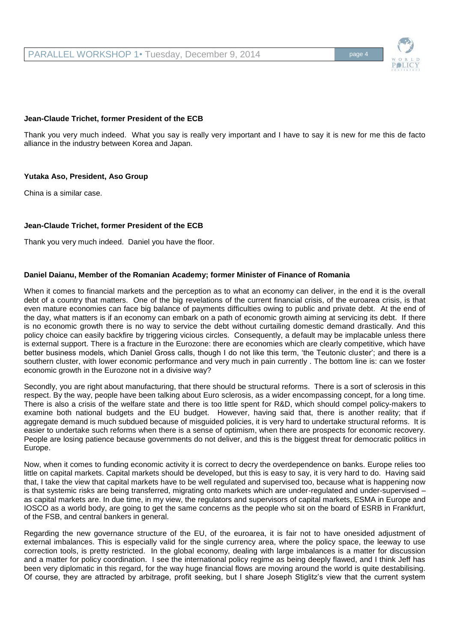# **Jean-Claude Trichet, former President of the ECB**

Thank you very much indeed. What you say is really very important and I have to say it is new for me this de facto alliance in the industry between Korea and Japan.

# **Yutaka Aso, President, Aso Group**

China is a similar case.

#### **Jean-Claude Trichet, former President of the ECB**

Thank you very much indeed. Daniel you have the floor.

#### **Daniel Daianu, Member of the Romanian Academy; former Minister of Finance of Romania**

When it comes to financial markets and the perception as to what an economy can deliver, in the end it is the overall debt of a country that matters. One of the big revelations of the current financial crisis, of the euroarea crisis, is that even mature economies can face big balance of payments difficulties owing to public and private debt. At the end of the day, what matters is if an economy can embark on a path of economic growth aiming at servicing its debt. If there is no economic growth there is no way to service the debt without curtailing domestic demand drastically. And this policy choice can easily backfire by triggering vicious circles. Consequently, a default may be implacable unless there is external support. There is a fracture in the Eurozone: there are economies which are clearly competitive, which have better business models, which Daniel Gross calls, though I do not like this term, 'the Teutonic cluster'; and there is a southern cluster, with lower economic performance and very much in pain currently . The bottom line is: can we foster economic growth in the Eurozone not in a divisive way?

Secondly, you are right about manufacturing, that there should be structural reforms. There is a sort of sclerosis in this respect. By the way, people have been talking about Euro sclerosis, as a wider encompassing concept, for a long time. There is also a crisis of the welfare state and there is too little spent for R&D, which should compel policy-makers to examine both national budgets and the EU budget. However, having said that, there is another reality; that if aggregate demand is much subdued because of misguided policies, it is very hard to undertake structural reforms. It is easier to undertake such reforms when there is a sense of optimism, when there are prospects for economic recovery. People are losing patience because governments do not deliver, and this is the biggest threat for democratic politics in Europe.

Now, when it comes to funding economic activity it is correct to decry the overdependence on banks. Europe relies too little on capital markets. Capital markets should be developed, but this is easy to say, it is very hard to do. Having said that, I take the view that capital markets have to be well regulated and supervised too, because what is happening now is that systemic risks are being transferred, migrating onto markets which are under-regulated and under-supervised – as capital markets are. In due time, in my view, the regulators and supervisors of capital markets, ESMA in Europe and IOSCO as a world body, are going to get the same concerns as the people who sit on the board of ESRB in Frankfurt, of the FSB, and central bankers in general.

Regarding the new governance structure of the EU, of the euroarea, it is fair not to have onesided adjustment of external imbalances. This is especially valid for the single currency area, where the policy space, the leeway to use correction tools, is pretty restricted. In the global economy, dealing with large imbalances is a matter for discussion and a matter for policy coordination. I see the international policy regime as being deeply flawed, and I think Jeff has been very diplomatic in this regard, for the way huge financial flows are moving around the world is quite destabilising. Of course, they are attracted by arbitrage, profit seeking, but I share Joseph Stiglitz's view that the current system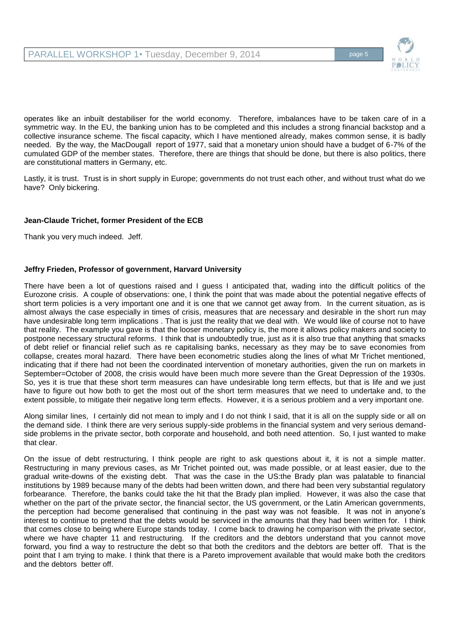

operates like an inbuilt destabiliser for the world economy. Therefore, imbalances have to be taken care of in a symmetric way. In the EU, the banking union has to be completed and this includes a strong financial backstop and a collective insurance scheme. The fiscal capacity, which I have mentioned already, makes common sense, it is badly needed. By the way, the MacDougall report of 1977, said that a monetary union should have a budget of 6-7% of the cumulated GDP of the member states. Therefore, there are things that should be done, but there is also politics, there are constitutional matters in Germany, etc.

Lastly, it is trust. Trust is in short supply in Europe; governments do not trust each other, and without trust what do we have? Only bickering.

# **Jean-Claude Trichet, former President of the ECB**

Thank you very much indeed. Jeff.

# **Jeffry Frieden, Professor of government, Harvard University**

There have been a lot of questions raised and I guess I anticipated that, wading into the difficult politics of the Eurozone crisis. A couple of observations: one, I think the point that was made about the potential negative effects of short term policies is a very important one and it is one that we cannot get away from. In the current situation, as is almost always the case especially in times of crisis, measures that are necessary and desirable in the short run may have undesirable long term implications . That is just the reality that we deal with. We would like of course not to have that reality. The example you gave is that the looser monetary policy is, the more it allows policy makers and society to postpone necessary structural reforms. I think that is undoubtedly true, just as it is also true that anything that smacks of debt relief or financial relief such as re capitalising banks, necessary as they may be to save economies from collapse, creates moral hazard. There have been econometric studies along the lines of what Mr Trichet mentioned, indicating that if there had not been the coordinated intervention of monetary authorities, given the run on markets in September=October of 2008, the crisis would have been much more severe than the Great Depression of the 1930s. So, yes it is true that these short term measures can have undesirable long term effects, but that is life and we just have to figure out how both to get the most out of the short term measures that we need to undertake and, to the extent possible, to mitigate their negative long term effects. However, it is a serious problem and a very important one.

Along similar lines, I certainly did not mean to imply and I do not think I said, that it is all on the supply side or all on the demand side. I think there are very serious supply-side problems in the financial system and very serious demandside problems in the private sector, both corporate and household, and both need attention. So, I just wanted to make that clear.

On the issue of debt restructuring, I think people are right to ask questions about it, it is not a simple matter. Restructuring in many previous cases, as Mr Trichet pointed out, was made possible, or at least easier, due to the gradual write-downs of the existing debt. That was the case in the US:the Brady plan was palatable to financial institutions by 1989 because many of the debts had been written down, and there had been very substantial regulatory forbearance. Therefore, the banks could take the hit that the Brady plan implied. However, it was also the case that whether on the part of the private sector, the financial sector, the US government, or the Latin American governments, the perception had become generalised that continuing in the past way was not feasible. It was not in anyone's interest to continue to pretend that the debts would be serviced in the amounts that they had been written for. I think that comes close to being where Europe stands today. I come back to drawing he comparison with the private sector, where we have chapter 11 and restructuring. If the creditors and the debtors understand that you cannot move forward, you find a way to restructure the debt so that both the creditors and the debtors are better off. That is the point that I am trying to make. I think that there is a Pareto improvement available that would make both the creditors and the debtors better off.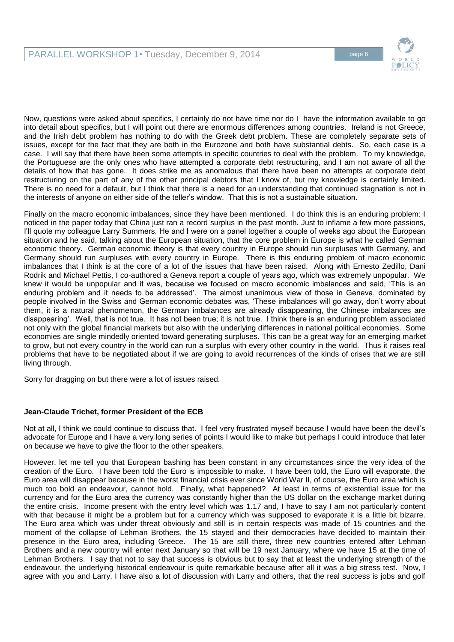

Now, questions were asked about specifics, I certainly do not have time nor do I have the information available to go into detail about specifics, but I will point out there are enormous differences among countries. Ireland is not Greece, and the Irish debt problem has nothing to do with the Greek debt problem. These are completely separate sets of issues, except for the fact that they are both in the Eurozone and both have substantial debts. So, each case is a case. I will say that there have been some attempts in specific countries to deal with the problem. To my knowledge, the Portuguese are the only ones who have attempted a corporate debt restructuring, and I am not aware of all the details of how that has gone. It does strike me as anomalous that there have been no attempts at corporate debt restructuring on the part of any of the other principal debtors that I know of, but my knowledge is certainly limited. There is no need for a default, but I think that there is a need for an understanding that continued stagnation is not in the interests of anyone on either side of the teller's window. That this is not a sustainable situation.

Finally on the macro economic imbalances, since they have been mentioned. I do think this is an enduring problem: I noticed in the paper today that China just ran a record surplus in the past month. Just to inflame a few more passions, I'll quote my colleague Larry Summers. He and I were on a panel together a couple of weeks ago about the European situation and he said, talking about the European situation, that the core problem in Europe is what he called German economic theory. German economic theory is that every country in Europe should run surpluses with Germany, and Germany should run surpluses with every country in Europe. There is this enduring problem of macro economic imbalances that I think is at the core of a lot of the issues that have been raised. Along with Ernesto Zedillo, Dani Rodrik and Michael Pettis, I co-authored a Geneva report a couple of years ago, which was extremely unpopular. We knew it would be unpopular and it was, because we focused on macro economic imbalances and said, 'This is an enduring problem and it needs to be addressed'. The almost unanimous view of those in Geneva, dominated by people involved in the Swiss and German economic debates was, 'These imbalances will go away, don't worry about them, it is a natural phenomenon, the German imbalances are already disappearing, the Chinese imbalances are disappearing'. Well, that is not true. It has not been true; it is not true. I think there is an enduring problem associated not only with the global financial markets but also with the underlying differences in national political economies. Some economies are single mindedly oriented toward generating surpluses. This can be a great way for an emerging market to grow, but not every country in the world can run a surplus with every other country in the world. Thus it raises real problems that have to be negotiated about if we are going to avoid recurrences of the kinds of crises that we are still living through.

Sorry for dragging on but there were a lot of issues raised.

# **Jean-Claude Trichet, former President of the ECB**

Not at all, I think we could continue to discuss that. I feel very frustrated myself because I would have been the devil's advocate for Europe and I have a very long series of points I would like to make but perhaps I could introduce that later on because we have to give the floor to the other speakers.

However, let me tell you that European bashing has been constant in any circumstances since the very idea of the creation of the Euro. I have been told the Euro is impossible to make. I have been told, the Euro will evaporate, the Euro area will disappear because in the worst financial crisis ever since World War II, of course, the Euro area which is much too bold an endeavour, cannot hold. Finally, what happened? At least in terms of existential issue for the currency and for the Euro area the currency was constantly higher than the US dollar on the exchange market during the entire crisis. Income present with the entry level which was 1.17 and, I have to say I am not particularly content with that because it might be a problem but for a currency which was supposed to evaporate it is a little bit bizarre. The Euro area which was under threat obviously and still is in certain respects was made of 15 countries and the moment of the collapse of Lehman Brothers, the 15 stayed and their democracies have decided to maintain their presence in the Euro area, including Greece. The 15 are still there, three new countries entered after Lehman Brothers and a new country will enter next January so that will be 19 next January, where we have 15 at the time of Lehman Brothers. I say that not to say that success is obvious but to say that at least the underlying strength of the endeavour, the underlying historical endeavour is quite remarkable because after all it was a big stress test. Now, I agree with you and Larry, I have also a lot of discussion with Larry and others, that the real success is jobs and golf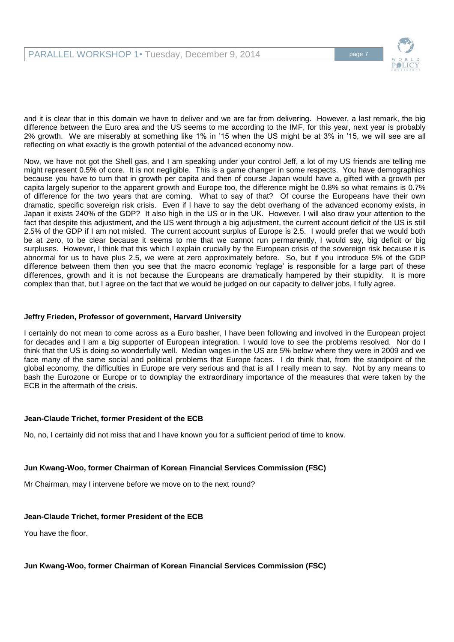

and it is clear that in this domain we have to deliver and we are far from delivering. However, a last remark, the big difference between the Euro area and the US seems to me according to the IMF, for this year, next year is probably 2% growth. We are miserably at something like 1% in '15 when the US might be at 3% in '15, we will see are all reflecting on what exactly is the growth potential of the advanced economy now.

Now, we have not got the Shell gas, and I am speaking under your control Jeff, a lot of my US friends are telling me might represent 0.5% of core. It is not negligible. This is a game changer in some respects. You have demographics because you have to turn that in growth per capita and then of course Japan would have a, gifted with a growth per capita largely superior to the apparent growth and Europe too, the difference might be 0.8% so what remains is 0.7% of difference for the two years that are coming. What to say of that? Of course the Europeans have their own dramatic, specific sovereign risk crisis. Even if I have to say the debt overhang of the advanced economy exists, in Japan it exists 240% of the GDP? It also high in the US or in the UK. However, I will also draw your attention to the fact that despite this adjustment, and the US went through a big adjustment, the current account deficit of the US is still 2.5% of the GDP if I am not misled. The current account surplus of Europe is 2.5. I would prefer that we would both be at zero, to be clear because it seems to me that we cannot run permanently, I would say, big deficit or big surpluses. However, I think that this which I explain crucially by the European crisis of the sovereign risk because it is abnormal for us to have plus 2.5, we were at zero approximately before. So, but if you introduce 5% of the GDP difference between them then you see that the macro economic 'reglage' is responsible for a large part of these differences, growth and it is not because the Europeans are dramatically hampered by their stupidity. It is more complex than that, but I agree on the fact that we would be judged on our capacity to deliver jobs, I fully agree.

#### **Jeffry Frieden, Professor of government, Harvard University**

I certainly do not mean to come across as a Euro basher, I have been following and involved in the European project for decades and I am a big supporter of European integration. I would love to see the problems resolved. Nor do I think that the US is doing so wonderfully well. Median wages in the US are 5% below where they were in 2009 and we face many of the same social and political problems that Europe faces. I do think that, from the standpoint of the global economy, the difficulties in Europe are very serious and that is all I really mean to say. Not by any means to bash the Eurozone or Europe or to downplay the extraordinary importance of the measures that were taken by the ECB in the aftermath of the crisis.

# **Jean-Claude Trichet, former President of the ECB**

No, no, I certainly did not miss that and I have known you for a sufficient period of time to know.

# **Jun Kwang-Woo, former Chairman of Korean Financial Services Commission (FSC)**

Mr Chairman, may I intervene before we move on to the next round?

# **Jean-Claude Trichet, former President of the ECB**

You have the floor.

#### **Jun Kwang-Woo, former Chairman of Korean Financial Services Commission (FSC)**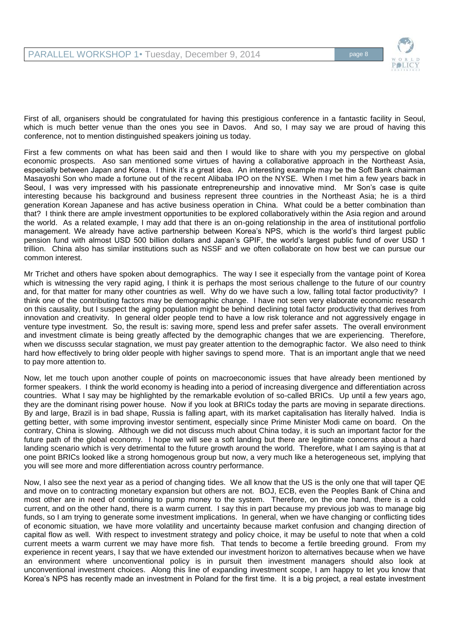

First of all, organisers should be congratulated for having this prestigious conference in a fantastic facility in Seoul, which is much better venue than the ones you see in Davos. And so, I may say we are proud of having this conference, not to mention distinguished speakers joining us today.

First a few comments on what has been said and then I would like to share with you my perspective on global economic prospects. Aso san mentioned some virtues of having a collaborative approach in the Northeast Asia, especially between Japan and Korea. I think it's a great idea. An interesting example may be the Soft Bank chairman Masayoshi Son who made a fortune out of the recent Alibaba IPO on the NYSE. When I met him a few years back in Seoul, I was very impressed with his passionate entrepreneurship and innovative mind. Mr Son's case is quite interesting because his background and business represent three countries in the Northeast Asia; he is a third generation Korean Japanese and has active business operation in China. What could be a better combination than that? I think there are ample investment opportunities to be explored collaboratively within the Asia region and around the world. As a related example, I may add that there is an on-going relationship in the area of institutional portfolio management. We already have active partnership between Korea's NPS, which is the world's third largest public pension fund with almost USD 500 billion dollars and Japan's GPIF, the world's largest public fund of over USD 1 trillion. China also has similar institutions such as NSSF and we often collaborate on how best we can pursue our common interest.

Mr Trichet and others have spoken about demographics. The way I see it especially from the vantage point of Korea which is witnessing the very rapid aging, I think it is perhaps the most serious challenge to the future of our country and, for that matter for many other countries as well. Why do we have such a low, falling total factor productivity? I think one of the contributing factors may be demographic change. I have not seen very elaborate economic research on this causality, but I suspect the aging population might be behind declining total factor productivity that derives from innovation and creativity. In general older people tend to have a low risk tolerance and not aggressively engage in venture type investment. So, the result is: saving more, spend less and prefer safer assets. The overall environment and investment climate is being greatly affected by the demographic changes that we are experiencing. Therefore, when we discusss secular stagnation, we must pay greater attention to the demographic factor. We also need to think hard how effectively to bring older people with higher savings to spend more. That is an important angle that we need to pay more attention to.

Now, let me touch upon another couple of points on macroeconomic issues that have already been mentioned by former speakers. I think the world economy is heading into a period of increasing divergence and differentiation across countries. What I say may be highlighted by the remarkable evolution of so-called BRICs. Up until a few years ago, they are the dominant rising power house. Now if you look at BRICs today the parts are moving in separate directions. By and large, Brazil is in bad shape, Russia is falling apart, with its market capitalisation has literally halved. India is getting better, with some improving investor sentiment, especially since Prime Minister Modi came on board. On the contrary, China is slowing. Although we did not discuss much about China today, it is such an important factor for the future path of the global economy. I hope we will see a soft landing but there are legitimate concerns about a hard landing scenario which is very detrimental to the future growth around the world. Therefore, what I am saying is that at one point BRICs looked like a strong homogenous group but now, a very much like a heterogeneous set, implying that you will see more and more differentiation across country performance.

Now, I also see the next year as a period of changing tides. We all know that the US is the only one that will taper QE and move on to contracting monetary expansion but others are not. BOJ, ECB, even the Peoples Bank of China and most other are in need of continuing to pump money to the system. Therefore, on the one hand, there is a cold current, and on the other hand, there is a warm current. I say this in part because my previous job was to manage big funds, so I am trying to generate some investment implications. In general, when we have changing or conflicting tides of economic situation, we have more volatility and uncertainty because market confusion and changing direction of capital flow as well. With respect to investment strategy and policy choice, it may be useful to note that when a cold current meets a warm current we may have more fish. That tends to become a fertile breeding ground. From my experience in recent years, I say that we have extended our investment horizon to alternatives because when we have an environment where unconventional policy is in pursuit then investment managers should also look at unconventional investment choices. Along this line of expanding investment scope, I am happy to let you know that Korea's NPS has recently made an investment in Poland for the first time. It is a big project, a real estate investment